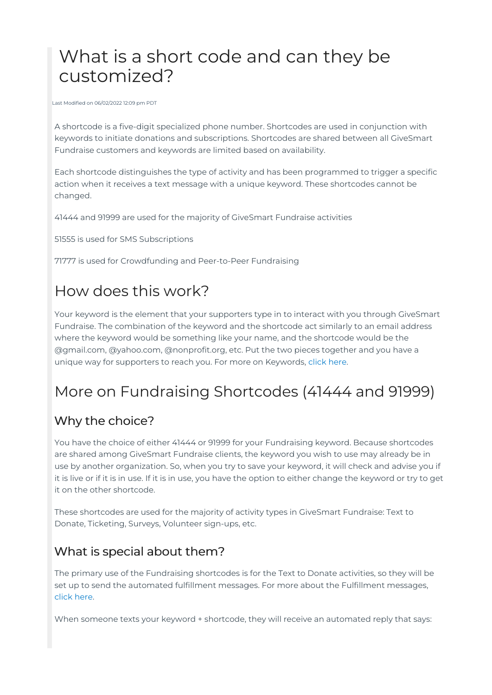# What is a short code and can they be customized?

Last Modified on 06/02/2022 12:09 pm PDT

A shortcode is a five-digit specialized phone number. Shortcodes are used in conjunction with keywords to initiate donations and subscriptions. Shortcodes are shared between all GiveSmart Fundraise customers and keywords are limited based on availability.

Each shortcode distinguishes the type of activity and has been programmed to trigger a specific action when it receives a text message with a unique keyword. These shortcodes cannot be changed.

41444 and 91999 are used for the majority of GiveSmart Fundraise activities

51555 is used for SMS Subscriptions

71777 is used for Crowdfunding and Peer-to-Peer Fundraising

## How does this work?

Your keyword is the element that your supporters type in to interact with you through GiveSmart Fundraise. The combination of the keyword and the shortcode act similarly to an email address where the keyword would be something like your name, and the shortcode would be the @gmail.com, @yahoo.com, @nonprofit.org, etc. Put the two pieces together and you have a unique way for supporters to reach you. For more on Keywords, [click](http://support.mobilecause.com/help/keyword-strategies) here.

## More on Fundraising Shortcodes (41444 and 91999)

#### Why the choice?

You have the choice of either 41444 or 91999 for your Fundraising keyword. Because shortcodes are shared among GiveSmart Fundraise clients, the keyword you wish to use may already be in use by another organization. So, when you try to save your keyword, it will check and advise you if it is live or if it is in use. If it is in use, you have the option to either change the keyword or try to get it on the other shortcode.

These shortcodes are used for the majority of activity types in GiveSmart Fundraise: Text to Donate, Ticketing, Surveys, Volunteer sign-ups, etc.

#### What is special about them?

The primary use of the Fundraising shortcodes is for the Text to Donate activities, so they will be set up to send the automated fulfillment messages. For more about the Fulfillment messages, click [here](http://support.mobilecause.com/help/fulfillment-reminders).

When someone texts your keyword + shortcode, they will receive an automated reply that says: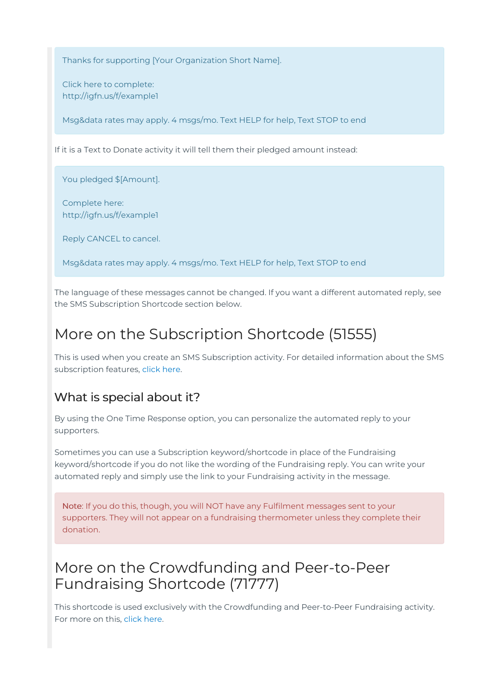Thanks for supporting [Your Organization Short Name].

Click here to complete: http://igfn.us/f/example1

Msg&data rates may apply. 4 msgs/mo. Text HELP for help, Text STOP to end

If it is a Text to Donate activity it will tell them their pledged amount instead:

You pledged \$[Amount].

Complete here: http://igfn.us/f/example1

Reply CANCEL to cancel.

Msg&data rates may apply. 4 msgs/mo. Text HELP for help, Text STOP to end

The language of these messages cannot be changed. If you want a different automated reply, see the SMS Subscription Shortcode section below.

## More on the Subscription Shortcode (51555)

This is used when you create an SMS Subscription activity. For detailed information about the SMS subscription features, [click](http://support.mobilecause.com/help/set-up-sms-subscriptions) here.

#### What is special about it?

By using the One Time Response option, you can personalize the automated reply to your supporters.

Sometimes you can use a Subscription keyword/shortcode in place of the Fundraising keyword/shortcode if you do not like the wording of the Fundraising reply. You can write your automated reply and simply use the link to your Fundraising activity in the message.

Note: If you do this, though, you will NOT have any Fulfilment messages sent to your supporters. They will not appear on a fundraising thermometer unless they complete their donation.

### More on the Crowdfunding and Peer-to-Peer Fundraising Shortcode (71777)

This shortcode is used exclusively with the Crowdfunding and Peer-to-Peer Fundraising activity. For more on this, click [here](http://support.mobilecause.com/help/set-up-a-crowdfunding-and-peer-to-peer-activity).